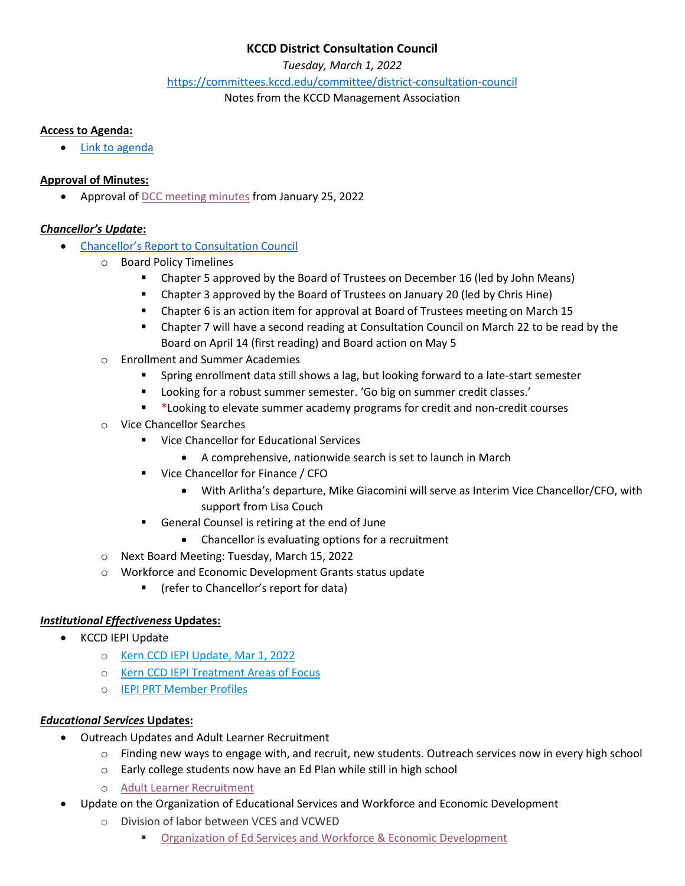# **KCCD District Consultation Council**

*Tuesday, March 1, 2022*

<https://committees.kccd.edu/committee/district-consultation-council>

Notes from the KCCD Management Association

## **Access to Agenda:**

[Link to agenda](https://committees.kccd.edu/sites/committees.kccd.edu/files/AgendaDCC_Mar%201%202022_0.pdf)

## **Approval of Minutes:**

• Approval o[f DCC meeting minutes](https://committees.kccd.edu/sites/committees.kccd.edu/files/MinutesDCC_Jan%2025%2C%202022.pdf) from January 25, 2022

# *Chancellor's Update***:**

- [Chancellor's Report to Consultation Council](https://committees.kccd.edu/sites/committees.kccd.edu/files/Sonya%27s%20Report%20to%20Consultation%20Council%20March%201%202022_0.pdf)
	- o Board Policy Timelines
		- **EX Chapter 5 approved by the Board of Trustees on December 16 (led by John Means)**
		- **Chapter 3 approved by the Board of Trustees on January 20 (led by Chris Hine)**
		- Chapter 6 is an action item for approval at Board of Trustees meeting on March 15
		- Chapter 7 will have a second reading at Consultation Council on March 22 to be read by the Board on April 14 (first reading) and Board action on May 5
	- o Enrollment and Summer Academies
		- Spring enrollment data still shows a lag, but looking forward to a late-start semester
		- Looking for a robust summer semester. 'Go big on summer credit classes.'
		- \*Looking to elevate summer academy programs for credit and non-credit courses
	- o Vice Chancellor Searches
		- Vice Chancellor for Educational Services
			- A comprehensive, nationwide search is set to launch in March
		- Vice Chancellor for Finance / CFO
			- With Arlitha's departure, Mike Giacomini will serve as Interim Vice Chancellor/CFO, with support from Lisa Couch
		- General Counsel is retiring at the end of June
			- Chancellor is evaluating options for a recruitment
	- o Next Board Meeting: Tuesday, March 15, 2022
	- o Workforce and Economic Development Grants status update
		- (refer to Chancellor's report for data)

# *Institutional Effectiveness* **Updates:**

- KCCD IEPI Update
	- o [Kern CCD IEPI Update, Mar 1, 2022](https://committees.kccd.edu/sites/committees.kccd.edu/files/KCCD%20IEPI%20Summary%2C%20March%201%2C%202022.pdf)
	- o [Kern CCD IEPI Treatment Areas of](https://committees.kccd.edu/sites/committees.kccd.edu/files/KCCD%20IEPI%20Treatment%20of%20Areas%20of%20Focus%20v3.pdf) Focus
	- o [IEPI PRT Member Profiles](https://committees.kccd.edu/sites/committees.kccd.edu/files/PRT%20member%20brief%20prof%20profiles%20consolidated.pdf)

## *Educational Services* **Updates:**

- Outreach Updates and Adult Learner Recruitment
	- o Finding new ways to engage with, and recruit, new students. Outreach services now in every high school
		- o Early college students now have an Ed Plan while still in high school
		- o [Adult Learner Recruitment](https://committees.kccd.edu/sites/committees.kccd.edu/files/Workforce%20%20Economic%20Development-%20Redefining%20Outreach%20v2.pdf)
- Update on the Organization of Educational Services and Workforce and Economic Development
	- o Division of labor between VCES and VCWED
		- [Organization of Ed Services and Workforce & Economic Development](https://committees.kccd.edu/sites/committees.kccd.edu/files/ED%20Service%20EWD%20structures%20-%20Consultation%20Council%20030122.pdf)